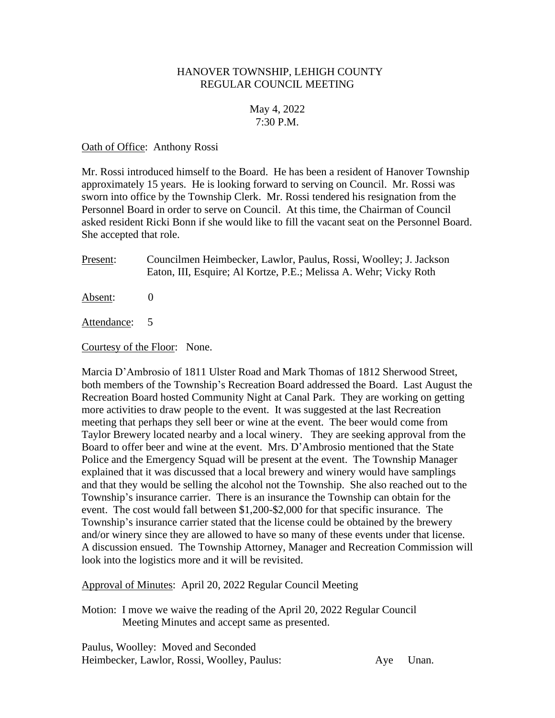# HANOVER TOWNSHIP, LEHIGH COUNTY REGULAR COUNCIL MEETING

# May 4, 2022 7:30 P.M.

### Oath of Office: Anthony Rossi

Mr. Rossi introduced himself to the Board. He has been a resident of Hanover Township approximately 15 years. He is looking forward to serving on Council. Mr. Rossi was sworn into office by the Township Clerk. Mr. Rossi tendered his resignation from the Personnel Board in order to serve on Council. At this time, the Chairman of Council asked resident Ricki Bonn if she would like to fill the vacant seat on the Personnel Board. She accepted that role.

Present: Councilmen Heimbecker, Lawlor, Paulus, Rossi, Woolley; J. Jackson Eaton, III, Esquire; Al Kortze, P.E.; Melissa A. Wehr; Vicky Roth

Absent: 0

Attendance: 5

Courtesy of the Floor: None.

Marcia D'Ambrosio of 1811 Ulster Road and Mark Thomas of 1812 Sherwood Street, both members of the Township's Recreation Board addressed the Board. Last August the Recreation Board hosted Community Night at Canal Park. They are working on getting more activities to draw people to the event. It was suggested at the last Recreation meeting that perhaps they sell beer or wine at the event. The beer would come from Taylor Brewery located nearby and a local winery. They are seeking approval from the Board to offer beer and wine at the event. Mrs. D'Ambrosio mentioned that the State Police and the Emergency Squad will be present at the event. The Township Manager explained that it was discussed that a local brewery and winery would have samplings and that they would be selling the alcohol not the Township. She also reached out to the Township's insurance carrier. There is an insurance the Township can obtain for the event. The cost would fall between \$1,200-\$2,000 for that specific insurance. The Township's insurance carrier stated that the license could be obtained by the brewery and/or winery since they are allowed to have so many of these events under that license. A discussion ensued. The Township Attorney, Manager and Recreation Commission will look into the logistics more and it will be revisited.

Approval of Minutes: April 20, 2022 Regular Council Meeting

Motion: I move we waive the reading of the April 20, 2022 Regular Council Meeting Minutes and accept same as presented.

Paulus, Woolley: Moved and Seconded Heimbecker, Lawlor, Rossi, Woolley, Paulus: Aye Unan.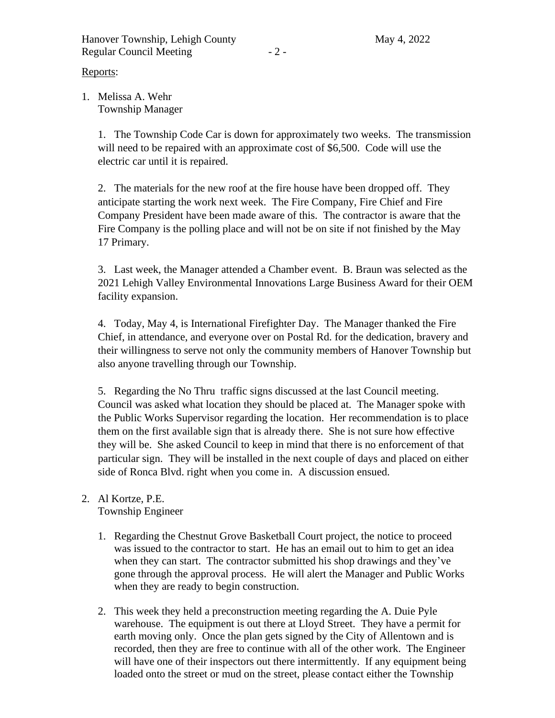Reports:

1. Melissa A. Wehr Township Manager

> 1. The Township Code Car is down for approximately two weeks. The transmission will need to be repaired with an approximate cost of \$6,500. Code will use the electric car until it is repaired.

2. The materials for the new roof at the fire house have been dropped off. They anticipate starting the work next week. The Fire Company, Fire Chief and Fire Company President have been made aware of this. The contractor is aware that the Fire Company is the polling place and will not be on site if not finished by the May 17 Primary.

3. Last week, the Manager attended a Chamber event. B. Braun was selected as the 2021 Lehigh Valley Environmental Innovations Large Business Award for their OEM facility expansion.

4. Today, May 4, is International Firefighter Day. The Manager thanked the Fire Chief, in attendance, and everyone over on Postal Rd. for the dedication, bravery and their willingness to serve not only the community members of Hanover Township but also anyone travelling through our Township.

5. Regarding the No Thru traffic signs discussed at the last Council meeting. Council was asked what location they should be placed at. The Manager spoke with the Public Works Supervisor regarding the location. Her recommendation is to place them on the first available sign that is already there. She is not sure how effective they will be. She asked Council to keep in mind that there is no enforcement of that particular sign. They will be installed in the next couple of days and placed on either side of Ronca Blvd. right when you come in. A discussion ensued.

# 2. Al Kortze, P.E. Township Engineer

- 1. Regarding the Chestnut Grove Basketball Court project, the notice to proceed was issued to the contractor to start. He has an email out to him to get an idea when they can start. The contractor submitted his shop drawings and they've gone through the approval process. He will alert the Manager and Public Works when they are ready to begin construction.
- 2. This week they held a preconstruction meeting regarding the A. Duie Pyle warehouse. The equipment is out there at Lloyd Street. They have a permit for earth moving only. Once the plan gets signed by the City of Allentown and is recorded, then they are free to continue with all of the other work. The Engineer will have one of their inspectors out there intermittently. If any equipment being loaded onto the street or mud on the street, please contact either the Township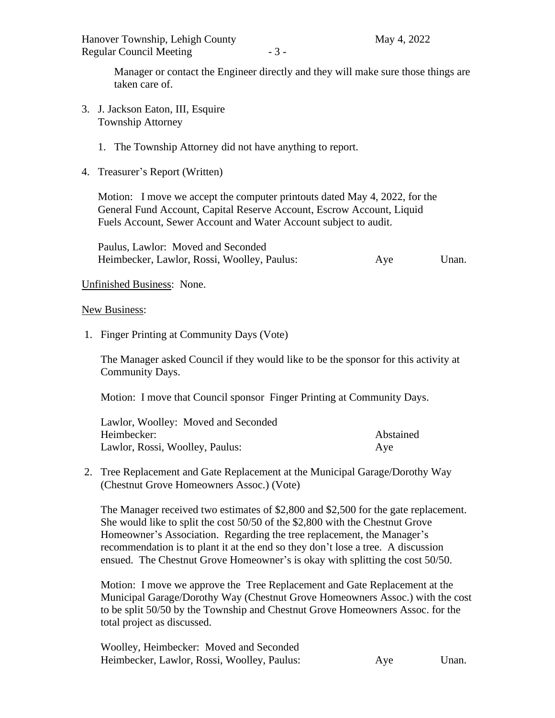Manager or contact the Engineer directly and they will make sure those things are taken care of.

3. J. Jackson Eaton, III, Esquire Township Attorney

### 1. The Township Attorney did not have anything to report.

4. Treasurer's Report (Written)

Motion: I move we accept the computer printouts dated May 4, 2022, for the General Fund Account, Capital Reserve Account, Escrow Account, Liquid Fuels Account, Sewer Account and Water Account subject to audit.

Paulus, Lawlor: Moved and Seconded Heimbecker, Lawlor, Rossi, Woolley, Paulus: Aye Unan.

Unfinished Business: None.

#### New Business:

1. Finger Printing at Community Days (Vote)

The Manager asked Council if they would like to be the sponsor for this activity at Community Days.

Motion: I move that Council sponsor Finger Printing at Community Days.

| Lawlor, Woolley: Moved and Seconded |           |
|-------------------------------------|-----------|
| Heimbecker:                         | Abstained |
| Lawlor, Rossi, Woolley, Paulus:     | Aye       |

2. Tree Replacement and Gate Replacement at the Municipal Garage/Dorothy Way (Chestnut Grove Homeowners Assoc.) (Vote)

The Manager received two estimates of \$2,800 and \$2,500 for the gate replacement. She would like to split the cost 50/50 of the \$2,800 with the Chestnut Grove Homeowner's Association. Regarding the tree replacement, the Manager's recommendation is to plant it at the end so they don't lose a tree. A discussion ensued. The Chestnut Grove Homeowner's is okay with splitting the cost 50/50.

Motion: I move we approve the Tree Replacement and Gate Replacement at the Municipal Garage/Dorothy Way (Chestnut Grove Homeowners Assoc.) with the cost to be split 50/50 by the Township and Chestnut Grove Homeowners Assoc. for the total project as discussed.

| Woolley, Heimbecker: Moved and Seconded     |     |       |
|---------------------------------------------|-----|-------|
| Heimbecker, Lawlor, Rossi, Woolley, Paulus: | Aye | Unan. |